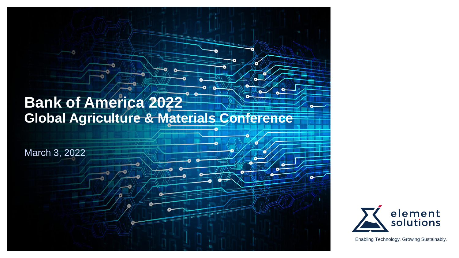# **Bank of America 2022 Global Agriculture & Materials Conference**

 $\leq$ 

March 3, 2022



Enabling Technology. Growing Sustainably.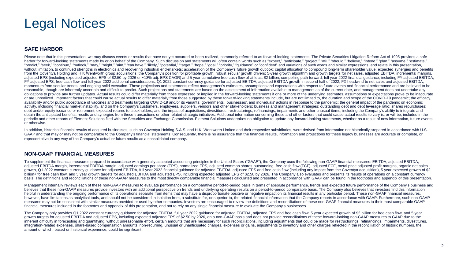### Legal Notices

### **SAFE HARBOR**

Please note that in this presentation, we may discuss events or results that have not yet occurred or been realized, commonly referred to as forward-looking statements. The Private Securities Litigation Reform Act of 1995 "harbor for forward-looking statements made by or on behalf of the Company. Such discussion and statements will often contain words such as "expect." "anticipate." "project." "will." "should." "believe." "intend." "plan." "predict," "seek," "continue," "outlook," "may," "might," "aim," "can have," "likely," "potential," "target," "hope," "goal," "priority," "guidance" or "confident" and variations of such words and similar expressions, and without limitation, to continued strengths in electronics and recovering industrial end-markets; acceleration of the Company's future growth outlook; capital allocation to compound long-term shareholder value; expected syn from the Coventya Holding and H K Wentworth group acquisitions: the Company's position for profitable growth: robust secular growth drivers: 5-year growth algorithm and growth targets for net sales, adjusted EBITDA, increm adjusted EPS (including expected adjusted EPS of \$2.50 by 2026 or ~13% adj. EPS CAGR) and 5 year cumulative free cash flow of at least \$2 billion; compelling path forward; full year 2022 financial quidance, including FY ad FY adjusted EPS, free cash flow and full year 2022 additional considerations: Q1 2022 constant currency quidance for adjusted EBITDA: adjusted EBITDA growth in second half of 2022: FX headwind to net sales and adjusted EBI momentum from secular trends: and ongoing solid execution. These projections and statements reflect management's estimates, assumptions and expectations with respect to future events and financial performance and are belie reasonable, though are inherently uncertain and difficult to predict. Such projections and statements are based on the assessment of information available to management as of the current date, and management does not under obligations to provide any further updates. Actual results could differ materially from those expressed or implied in the forward-looking statements if one or more of the underlying estimates, assumptions or expectations p or are unrealized. Important factors that could cause actual results to differ materially from those suggested by these forward-looking statements include, but are not limited to, the duration and scope of the COVID-19 pan availability and/or public acceptance of vaccines and treatments targeting COVID-19 and/or its variants; governments', businesses', and individuals' actions in response to the pandemic; the general impact of the pandemic o activity, including financial market instability, and on the Company's customers, employees, suppliers, vendors and other stakeholders; business and management strategies; outstanding debt and debt leverage ratio; shares r debt and/or equity issuance or retirement; expected returns to stockholders; and the impact of acquisitions, divestitures, restructurings, refinancings, impairments and other unusual items, including the Company's ability obtain the anticipated benefits, results and synergies from these transactions or other related strategic initiatives. Additional information concerning these and other factors that could cause actual results to vary is, o periodic and other reports of Element Solutions filed with the Securities and Exchange Commission. Element Solutions undertakes no obligation to update any forward-looking statements, whether as a result of new information or otherwise.

In addition, historical financial results of acquired businesses, such as Coventya Holding S.A.S. and H.K. Wentworth Limited and their respective subsidiaries, were derived from information not historically prepared in acc GAAP and that may or may not be comparable to the Company's financial statements. Consequently, there is no assurance that the financial results, information and projections for these legacy businesses are accurate or comp representative in any way of the Company's actual or future results as a consolidated company.

### **NON-GAAP FINANCIAL MEASURES**

To supplement the financial measures prepared in accordance with generally accepted accounting principles in the United States ("GAAP"), the Company uses the following non-GAAP financial measures: EBITDA, adjusted EBITDA, adjusted EBITDA margin, incremental EBITDA margin, adjusted earnings per share (EPS), normalized EPS, adjusted common shares outstanding, free cash flow (FCF), adjusted FCF, metal price adjusted profit margins, organic net growth, Q1 2022 constant currency quidance for adjusted EBITDA, full year 2022 financial quidance for adjusted EBITDA, adjusted EPS and free cash flow (including any impact from the Coventya acquisition), 5 year expected g billion+ for free cash flow, and 5 year growth targets for adjusted EBITDA and adjusted EPS, including expected adjusted EPS of \$2.50 by 2026. The Company also evaluates and presents its results of operations on a constant basis. The definitions and reconciliations of these non-GAAP measures to the most directly comparable financial measures calculated and presented in accordance with GAAP can be found in the footnotes and appendix of this p

Management internally reviews each of these non-GAAP measures to evaluate performance on a comparative period-to-period basis in terms of absolute performance, trends and expected future performance of the Company's busine believes that these non-GAAP measures provide investors with an additional perspective on trends and underlying operating results on a period-to-period comparable basis. The Company also believes that investors find this i helpful in understanding the ongoing performance of its operations separate from items that may have a disproportionate positive or negative impact on its financial results in any particular period. These non-GAAP financia however, have limitations as analytical tools, and should not be considered in isolation from, a substitute for, or superior to, the related financial information that the Company reports in accordance with GAAP. Furthermo measures may not be consistent with similar measures provided or used by other companies. Investors are encouraged to review the definitions and reconciliations of these non-GAAP financial measures to their most comparable financial measures included in the footnotes and appendix of this presentation, and not to rely on any single financial measure to evaluate the Company's businesses.

The Company only provides Q1 2022 constant currency quidance for adjusted EBITDA, full year 2022 quidance for adjusted EBITDA, adjusted EPS and free cash flow. 5 year expected growth of \$2 billion for free cash flow, and 5 growth targets for adjusted EBITDA and adjusted EPS, including expected adjusted EPS of \$2.50 by 2026, on a non-GAAP basis and does not provide reconciliations of these forward-looking non-GAAP measures to GAAP due to the inherent difficulty in forecasting and quantifying, without unreasonable effort, certain amounts that are necessary for such reconciliations, including adjustments that could be made for restructurings, refinancings, impai integration-related expenses, share-based compensation amounts, non-recurring, unusual or unanticipated charges, expenses or gains, adjustments to inventory and other charges reflected in the reconciliation of historic num amount of which, based on historical experience, could be significant.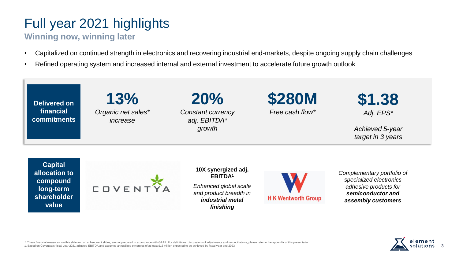# Full year 2021 highlights

### **Winning now, winning later**

- Capitalized on continued strength in electronics and recovering industrial end-markets, despite ongoing supply chain challenges
- Refined operating system and increased internal and external investment to accelerate future growth outlook



\* These financial measures, on this slide and on subsequent slides, are not prepared in accordance with GAAP. For definitions, discussions of adjustments and reconciliations, please refer to the appendix of this presentation 1. Based on Coventya's fiscal year 2021 adjusted EBITDA and assumes annualized synergies of at least \$15 million expected to be achieved by fiscal year end 2023

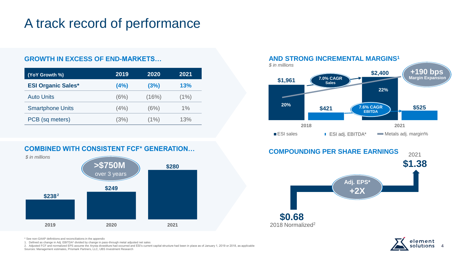## A track record of performance

### **GROWTH IN EXCESS OF END-MARKETS…**

| (YoY Growth %)            | 2019  | 2020  | 2021 |
|---------------------------|-------|-------|------|
| <b>ESI Organic Sales*</b> | (4%)  | (3%)  | 13%  |
| <b>Auto Units</b>         | (6%)  | (16%) | (1%) |
| <b>Smartphone Units</b>   | (4% ) | (6%)  | 1%   |
| PCB (sq meters)           | (3%)  | (1%)  | 13%  |





### **\$1,961 \$2,400 \$421 \$525 20% 22% 2018 2021** ESI sales **ESI adj.** ESI adj. EBITDA\* Metals adj. margin% **+190 bps Margin Expansion AND STRONG INCREMENTAL MARGINS<sup>1</sup>** *\$ in millions* **7.0% CAGR Sales 7.6% CAGR EBITDA**





\* See non-GAAP definitions and reconciliations in the appendix

1. Defined as change in Adj. EBITDA\* divided by change in pass-through metal adjusted net sales

2. Adjusted FCF and normalized EPS assume the Arysta divestiture had occurred and ESI's current capital structure had been in place as of January 1, 2019 or 2018, as applicable Sources: Management estimates, Prismark Partners, LLC, UBS Investment Research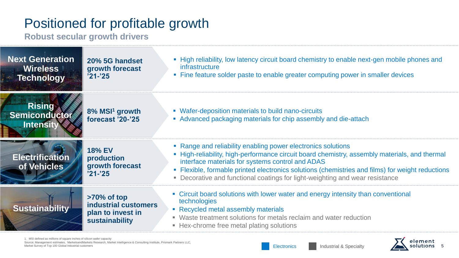# Positioned for profitable growth

**Robust secular growth drivers**

| <b>Next Generation</b><br><b>Wireless</b><br><b>Example Technology</b> | 20% 5G handset<br>growth forecast<br>$'21 - '25$                              | • High reliability, low latency circuit board chemistry to enable next-gen mobile phones and<br>infrastructure<br>• Fine feature solder paste to enable greater computing power in smaller devices                                                                                                                                                                                                    |
|------------------------------------------------------------------------|-------------------------------------------------------------------------------|-------------------------------------------------------------------------------------------------------------------------------------------------------------------------------------------------------------------------------------------------------------------------------------------------------------------------------------------------------------------------------------------------------|
| <b>Rising</b><br>Semiconductor<br><b>Intensity</b>                     | 8% MSI <sup>1</sup> growth<br>forecast '20-'25                                | • Wafer-deposition materials to build nano-circuits<br>• Advanced packaging materials for chip assembly and die-attach                                                                                                                                                                                                                                                                                |
| <b>Electrification</b><br>of Vehicles                                  | <b>18% EV</b><br>production<br>growth forecast<br>$'21 - 25$                  | • Range and reliability enabling power electronics solutions<br>• High-reliability, high-performance circuit board chemistry, assembly materials, and thermal<br>interface materials for systems control and ADAS<br>• Flexible, formable printed electronics solutions (chemistries and films) for weight reductions<br>• Decorative and functional coatings for light-weighting and wear resistance |
| Sustainability                                                         | $>70\%$ of top<br>industrial customers<br>plan to invest in<br>sustainability | • Circuit board solutions with lower water and energy intensity than conventional<br>technologies<br>• Recycled metal assembly materials<br>• Waste treatment solutions for metals reclaim and water reduction<br>• Hex-chrome free metal plating solutions                                                                                                                                           |

1. MSI defined as millions of square inches of silicon wafer capacity

Source: Management estimates, MarketsandMarkets Research, Market Intelligence & Consulting Institute, Prismark Partners LLC, Market Survey of Top 100 Global Industrial customers **Electronics** Industrial customers **Electronics** Industrial & Specialty

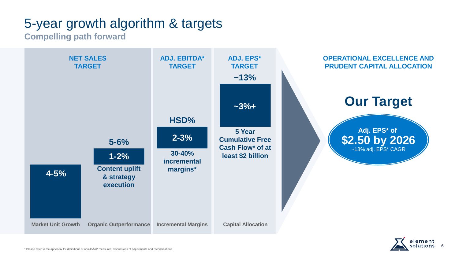# 5-year growth algorithm & targets

**Compelling path forward**



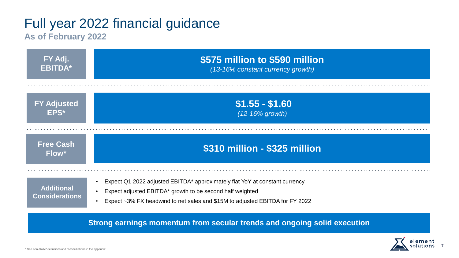## Full year 2022 financial guidance

### **As of February 2022**

| FY Adj.                                    | \$575 million to \$590 million                                                                                                                                                                                           |
|--------------------------------------------|--------------------------------------------------------------------------------------------------------------------------------------------------------------------------------------------------------------------------|
| <b>EBITDA*</b>                             | (13-16% constant currency growth)                                                                                                                                                                                        |
| <b>FY Adjusted</b>                         | $$1.55 - $1.60$                                                                                                                                                                                                          |
| EPS*                                       | $(12-16\%$ growth)                                                                                                                                                                                                       |
| <b>Free Cash</b><br>Flow*                  | \$310 million - \$325 million                                                                                                                                                                                            |
| <b>Additional</b><br><b>Considerations</b> | Expect Q1 2022 adjusted EBITDA* approximately flat YoY at constant currency<br>Expect adjusted EBITDA* growth to be second half weighted<br>Expect ~3% FX headwind to net sales and \$15M to adjusted EBITDA for FY 2022 |

**Strong earnings momentum from secular trends and ongoing solid execution**

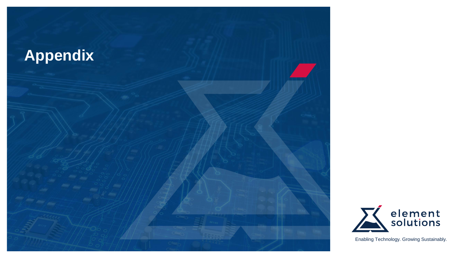



Enabling Technology. Growing Sustainably.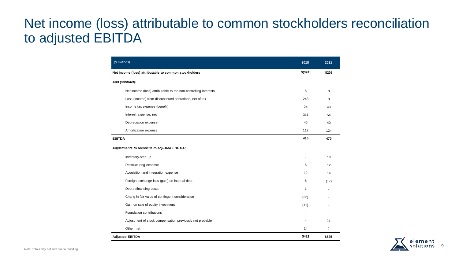### Net income (loss) attributable to common stockholders reconciliation to adjusted EBITDA

| (\$ millions)                                                   | 2018              | 2021  |
|-----------------------------------------------------------------|-------------------|-------|
| Net income (loss) attributable to common stockholders           |                   | \$203 |
| Add (subtract):                                                 |                   |       |
| Net income (loss) attributable to the non-controlling interests | 5                 | 0     |
| Loss (income) from discontinued operations, net of tax          | 243               | 0     |
| Income tax expense (benefit)                                    | 24                | 48    |
| Interest expense, net                                           | 311               | 54    |
| Depreciation expense                                            | 45                | 40    |
| Amortization expense                                            | 112               | 124   |
| <b>EBITDA</b>                                                   | 415               | 470   |
| Adjustments to reconcile to adjusted EBITDA:                    |                   |       |
| Inventory-step-up                                               |                   | 13    |
| Restructuring expense                                           | 6                 | 12    |
| Acquisition and integration expense                             | $12 \overline{ }$ | 14    |
| Foreign exchange loss (gain) on internal debt                   | 6                 | (17)  |
| Debt refinancing costs                                          | $\mathbf{1}$      |       |
| Chang in fair value of contingent consideration                 | (22)              |       |
| Gain on sale of equity investment                               | (11)              |       |
| Foundation contributions                                        |                   |       |
| Adjustment of stock compensation previously not probable        |                   | 24    |
| Other, net                                                      | 14                | 9     |
| <b>Adjusted EBITDA</b>                                          | \$421             | \$525 |

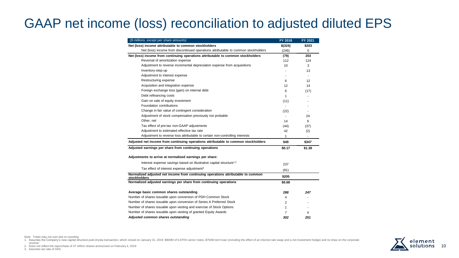# GAAP net income (loss) reconciliation to adjusted diluted EPS

| (\$ millions, except per share amounts)                                                          | FY 2018        | FY 2021        |
|--------------------------------------------------------------------------------------------------|----------------|----------------|
| Net (loss) income attributable to common stockholders                                            | $$$ (324)      | \$203          |
| Net (loss) income from discontinued operations attributable to common stockholders               | (246)          | 0              |
| Net (loss) income from continuing operations attributable to common stockholders                 | (79)           | 203            |
| Reversal of amortization expense                                                                 | 112            | 124            |
| Adjustment to reverse incremental depreciation expense from acquisitions                         | 10             | 3              |
| Inventory-step-up                                                                                |                | 13             |
| Adjustment to interest expense                                                                   |                | $\blacksquare$ |
| Restructuring expense                                                                            | 6              | 12             |
| Acquisition and integration expense                                                              | 12             | 14             |
| Foreign exchange loss (gain) on internal debt                                                    | 6              | (17)           |
| Debt refinancing costs                                                                           | 1              |                |
| Gain on sale of equity investment                                                                | (11)           |                |
| Foundation contributions                                                                         | $\blacksquare$ |                |
| Change in fair value of contingent consideration                                                 | (22)           | ٠              |
| Adjustment of stock compensation previously not probable                                         | $\blacksquare$ | 24             |
| Other, net                                                                                       | 14             | 9              |
| Tax effect of pre-tax non-GAAP adjustments                                                       | (44)           | (37)           |
| Adjustment to estimated effective tax rate                                                       | 42             | (2)            |
| Adjustment to reverse loss attributable to certain non-controlling interests                     | 1              |                |
| Adjusted net income from continuing operations attributable to common stockholders               | \$49           | \$347          |
| Adjusted earnings per share from continuing operations                                           | \$0.17         | \$1.38         |
| Adjustments to arrive at normalized earnings per share:                                          |                |                |
| Interest expense savings based on illustrative capital structure <sup>1,2</sup>                  | 237            |                |
| Tax effect of interest expense adjustment <sup>3</sup>                                           | (81)           |                |
| Normalized adjusted net income from continuing operations attributable to common<br>stockholders | \$205          |                |
| Normalized adjusted earnings per share from continuing operations                                | \$0.68         |                |
| Average basic common shares outstanding                                                          | 288            | 247            |
| Number of shares issuable upon conversion of PDH Common Stock                                    | 4              |                |
| Number of shares issuable upon conversion of Series A Preferred Stock                            | 2              |                |
| Number of shares issuable upon vesting and exercise of Stock Options                             | 1              |                |
| Number of shares issuable upon vesting of granted Equity Awards                                  | $\overline{7}$ | 4              |
| Adjusted common shares outstanding                                                               | 302            | 251            |

1. Assumes the Company's new capital structure post-Arysta transaction, which closed on January 31, 2019: \$800M of 5.875% senior notes, \$750M term loan (including the effect of an interest rate swap and a net investment he



Note: Totals may not sum due to rounding

revolver 2. Does not reflect the repurchase of 37 million shares announced on February 4, 2019 3. Assumes tax rate of 34%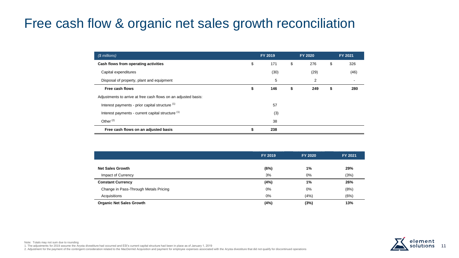## Free cash flow & organic net sales growth reconciliation

| $(S$ millions)                                                 | FY 2019   | <b>FY 2020</b> | FY 2021   |
|----------------------------------------------------------------|-----------|----------------|-----------|
| Cash flows from operating activities                           | \$<br>171 | \$<br>276      | \$<br>326 |
| Capital expenditures                                           | (30)      | (29)           | (46)      |
| Disposal of property, plant and equipment                      | 5         | 2              |           |
| Free cash flows                                                | \$<br>146 | \$<br>249      | \$<br>280 |
| Adjustments to arrive at free cash flows on an adjusted basis: |           |                |           |
| Interest payments - prior capital structure (1)                | 57        |                |           |
| Interest payments - current capital structure (1)              | (3)       |                |           |
| Other $(2)$                                                    | 38        |                |           |
| Free cash flows on an adjusted basis                           | 238       |                |           |

|                                       | FY 2019 | <b>FY 2020</b> | <b>FY 2021</b> |
|---------------------------------------|---------|----------------|----------------|
| <b>Net Sales Growth</b>               | (6%)    | 1%             | 29%            |
| Impact of Currency                    | 3%      | 0%             | (3%)           |
| <b>Constant Currency</b>              | (4%)    | 1%             | 26%            |
| Change in Pass-Through Metals Pricing | 0%      | 0%             | (8%)           |
| Acquisitions                          | 0%      | (4%)           | (6%)           |
| <b>Organic Net Sales Growth</b>       | (4%)    | (3%)           | 13%            |



Note: Totals may not sum due to rounding 1. The adjustments for 2019 assume the Arysta divestiture had occurred and ESI's current capital structure had been in place as of January 1, 2019 2. Adjustment for the payment of the contingent consideration related to the MacDermid Acquisition and payment for employee expenses associated with the Arysta divestiture that did not qualify for discontinued operations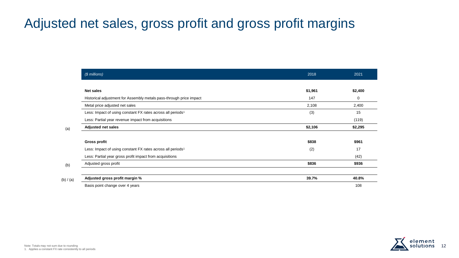## Adjusted net sales, gross profit and gross profit margins

|           | (\$ millions)                                                           | 2018    | 2021    |
|-----------|-------------------------------------------------------------------------|---------|---------|
|           |                                                                         |         |         |
|           | <b>Net sales</b>                                                        | \$1,961 | \$2,400 |
|           | Historical adjustment for Assembly metals pass-through price impact     | 147     | 0       |
|           | Metal price adjusted net sales                                          | 2,108   | 2,400   |
|           | Less: Impact of using constant FX rates across all periods <sup>1</sup> | (3)     | 15      |
|           | Less: Partial year revenue impact from acquisitions                     |         | (119)   |
| (a)       | <b>Adjusted net sales</b>                                               | \$2,106 | \$2,295 |
|           |                                                                         |         |         |
|           | <b>Gross profit</b>                                                     | \$838   | \$961   |
|           | Less: Impact of using constant FX rates across all periods <sup>1</sup> | (2)     | 17      |
|           | Less: Partial year gross profit impact from acquisitions                |         | (42)    |
| (b)       | Adjusted gross profit                                                   | \$836   | \$936   |
|           |                                                                         |         |         |
| (b) / (a) | Adjusted gross profit margin %                                          | 39.7%   | 40.8%   |
|           | Basis point change over 4 years                                         |         | 108     |